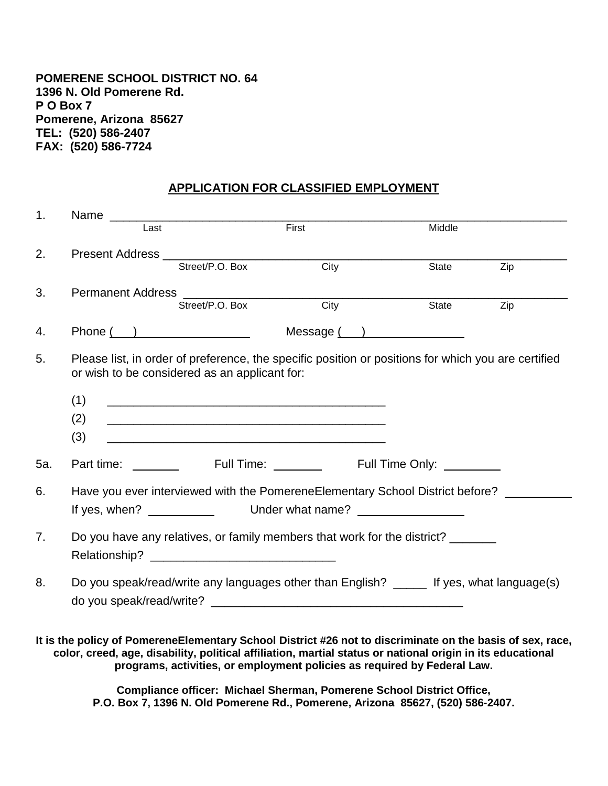## **POMERENE SCHOOL DISTRICT NO. 64 1396 N. Old Pomerene Rd. P O Box 7 Pomerene, Arizona 85627 TEL: (520) 586-2407 FAX: (520) 586-7724**

## **APPLICATION FOR CLASSIFIED EMPLOYMENT**

| 1.  | Name                                                                                                                                                 |                                                                                                                      |       |                                                                                                                                                                                                                         |     |  |  |
|-----|------------------------------------------------------------------------------------------------------------------------------------------------------|----------------------------------------------------------------------------------------------------------------------|-------|-------------------------------------------------------------------------------------------------------------------------------------------------------------------------------------------------------------------------|-----|--|--|
|     | Last                                                                                                                                                 |                                                                                                                      | First | Middle                                                                                                                                                                                                                  |     |  |  |
| 2.  |                                                                                                                                                      |                                                                                                                      |       |                                                                                                                                                                                                                         |     |  |  |
|     |                                                                                                                                                      | Street/P.O. Box                                                                                                      | City  | State                                                                                                                                                                                                                   | Zip |  |  |
| 3.  |                                                                                                                                                      |                                                                                                                      |       |                                                                                                                                                                                                                         |     |  |  |
|     |                                                                                                                                                      | Street/P.O. Box                                                                                                      | City  | State                                                                                                                                                                                                                   | Zip |  |  |
| 4.  |                                                                                                                                                      | $Phone(\_)$                                                                                                          |       | Message( )                                                                                                                                                                                                              |     |  |  |
| 5.  | Please list, in order of preference, the specific position or positions for which you are certified<br>or wish to be considered as an applicant for: |                                                                                                                      |       |                                                                                                                                                                                                                         |     |  |  |
|     | (1)                                                                                                                                                  | <u> 1980 - Johann John Stone, mars eta bainar eta baina eta baina eta baina eta baina eta baina eta baina eta ba</u> |       |                                                                                                                                                                                                                         |     |  |  |
|     | (2)                                                                                                                                                  | <u> 1989 - Johann John Stone, markin film yn y brenin y brenin y brenin y brenin y brenin y brenin y brenin y br</u> |       |                                                                                                                                                                                                                         |     |  |  |
|     | (3)                                                                                                                                                  | <u> 1980 - Jan James James, martin amerikan basar dan berasal dalam basa dalam basar dalam basar dalam basa dala</u> |       |                                                                                                                                                                                                                         |     |  |  |
| 5a. |                                                                                                                                                      |                                                                                                                      |       |                                                                                                                                                                                                                         |     |  |  |
| 6.  |                                                                                                                                                      |                                                                                                                      |       | Have you ever interviewed with the PomereneElementary School District before?                                                                                                                                           |     |  |  |
|     |                                                                                                                                                      |                                                                                                                      |       |                                                                                                                                                                                                                         |     |  |  |
| 7.  |                                                                                                                                                      |                                                                                                                      |       | Do you have any relatives, or family members that work for the district?                                                                                                                                                |     |  |  |
|     |                                                                                                                                                      |                                                                                                                      |       |                                                                                                                                                                                                                         |     |  |  |
| 8.  | Do you speak/read/write any languages other than English? _____ If yes, what language(s)                                                             |                                                                                                                      |       |                                                                                                                                                                                                                         |     |  |  |
|     |                                                                                                                                                      |                                                                                                                      |       |                                                                                                                                                                                                                         |     |  |  |
|     |                                                                                                                                                      |                                                                                                                      |       |                                                                                                                                                                                                                         |     |  |  |
|     |                                                                                                                                                      |                                                                                                                      |       | It is the policy of PomereneElementary School District #26 not to discriminate on the basis of sex, race,<br>color, creed, age, disability, political affiliation, martial status or national origin in its educational |     |  |  |

**programs, activities, or employment policies as required by Federal Law.**

**Compliance officer: Michael Sherman, Pomerene School District Office, P.O. Box 7, 1396 N. Old Pomerene Rd., Pomerene, Arizona 85627, (520) 586-2407.**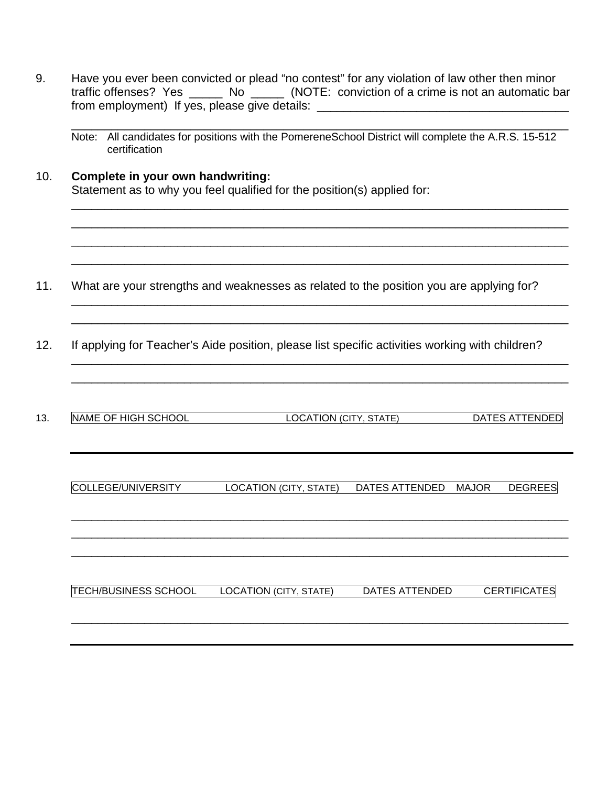| certification                     | Note: All candidates for positions with the PomereneSchool District will complete the A.R.S. 15-512 |                                        |
|-----------------------------------|-----------------------------------------------------------------------------------------------------|----------------------------------------|
| Complete in your own handwriting: | Statement as to why you feel qualified for the position(s) applied for:                             |                                        |
|                                   | What are your strengths and weaknesses as related to the position you are applying for?             |                                        |
|                                   | If applying for Teacher's Aide position, please list specific activities working with children?     |                                        |
| NAME OF HIGH SCHOOL               | LOCATION (CITY, STATE)                                                                              | <b>DATES ATTENDED</b>                  |
| COLLEGE/UNIVERSITY                | LOCATION (CITY, STATE)                                                                              | <b>DEGREES</b><br>DATES ATTENDED MAJOR |
|                                   |                                                                                                     |                                        |

9. Have you ever been convicted or plead "no contest" for any violation of law other then minor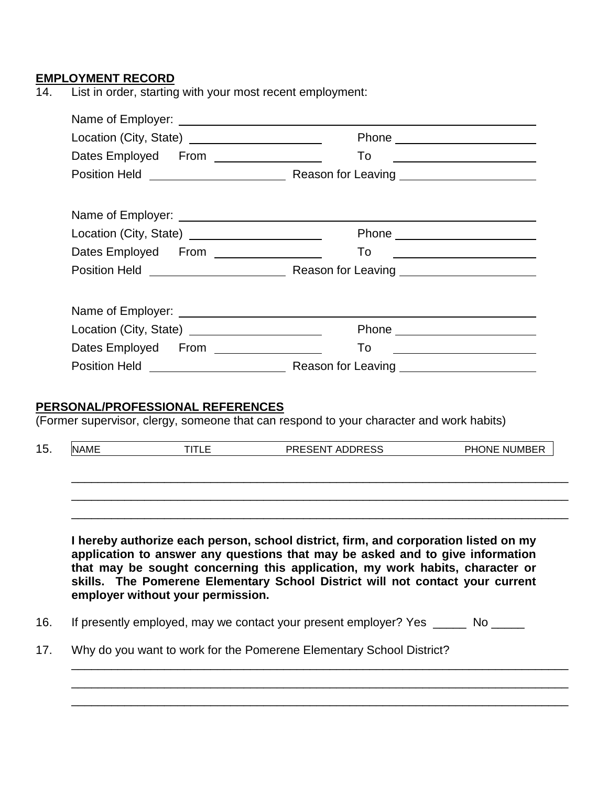# **EMPLOYMENT RECORD**

14. List in order, starting with your most recent employment:

|             | Location (City, State) ______________________   |                                                                                                                                                                                                                                                                                                                                       |                                                   |
|-------------|-------------------------------------------------|---------------------------------------------------------------------------------------------------------------------------------------------------------------------------------------------------------------------------------------------------------------------------------------------------------------------------------------|---------------------------------------------------|
|             |                                                 | To                                                                                                                                                                                                                                                                                                                                    | <u> 1980 - Andrea Andrew Maria (b. 1980)</u>      |
|             |                                                 |                                                                                                                                                                                                                                                                                                                                       |                                                   |
|             |                                                 |                                                                                                                                                                                                                                                                                                                                       |                                                   |
|             | Location (City, State) ______________________   |                                                                                                                                                                                                                                                                                                                                       | Phone __________________________                  |
|             | Dates Employed From ________________            | To                                                                                                                                                                                                                                                                                                                                    | <u> 1980 - Andrea Brand, amerikansk politik (</u> |
|             |                                                 |                                                                                                                                                                                                                                                                                                                                       |                                                   |
|             |                                                 |                                                                                                                                                                                                                                                                                                                                       |                                                   |
|             | Location (City, State) ________________________ |                                                                                                                                                                                                                                                                                                                                       | Phone _________________________                   |
|             |                                                 | To                                                                                                                                                                                                                                                                                                                                    | <u> 1980 - Andrea Andrew Maria III (m. 1951)</u>  |
|             |                                                 |                                                                                                                                                                                                                                                                                                                                       |                                                   |
| <b>NAME</b> | <b>TITLE</b>                                    | PRESENT ADDRESS                                                                                                                                                                                                                                                                                                                       | PHONE NUMBER                                      |
|             |                                                 |                                                                                                                                                                                                                                                                                                                                       |                                                   |
|             | employer without your permission.               | I hereby authorize each person, school district, firm, and corporation listed on my<br>application to answer any questions that may be asked and to give information<br>that may be sought concerning this application, my work habits, character or<br>skills. The Pomerene Elementary School District will not contact your current |                                                   |
|             |                                                 | If presently employed, may we contact your present employer? Yes ______ No _____                                                                                                                                                                                                                                                      |                                                   |
|             |                                                 | Why do you want to work for the Pomerene Elementary School District?                                                                                                                                                                                                                                                                  |                                                   |